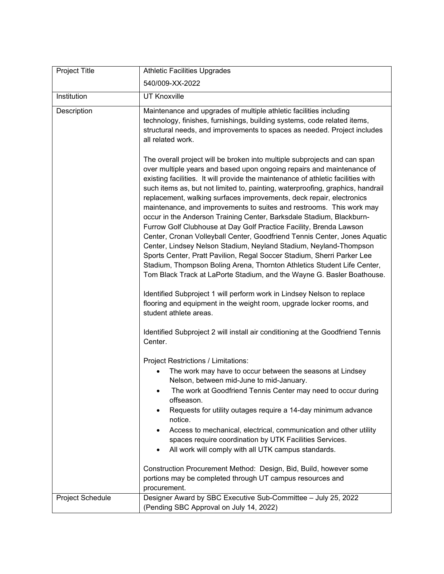| Project Title    | <b>Athletic Facilities Upgrades</b>                                                                                                                                                                                                                                                                                                                                                                                                                                                                                                                                                                                                                                                                                                                                                                                                                                                                                                                                                                                                                                                                                                                                                 |
|------------------|-------------------------------------------------------------------------------------------------------------------------------------------------------------------------------------------------------------------------------------------------------------------------------------------------------------------------------------------------------------------------------------------------------------------------------------------------------------------------------------------------------------------------------------------------------------------------------------------------------------------------------------------------------------------------------------------------------------------------------------------------------------------------------------------------------------------------------------------------------------------------------------------------------------------------------------------------------------------------------------------------------------------------------------------------------------------------------------------------------------------------------------------------------------------------------------|
|                  | 540/009-XX-2022                                                                                                                                                                                                                                                                                                                                                                                                                                                                                                                                                                                                                                                                                                                                                                                                                                                                                                                                                                                                                                                                                                                                                                     |
| Institution      | <b>UT Knoxville</b>                                                                                                                                                                                                                                                                                                                                                                                                                                                                                                                                                                                                                                                                                                                                                                                                                                                                                                                                                                                                                                                                                                                                                                 |
| Description      | Maintenance and upgrades of multiple athletic facilities including<br>technology, finishes, furnishings, building systems, code related items,<br>structural needs, and improvements to spaces as needed. Project includes<br>all related work.                                                                                                                                                                                                                                                                                                                                                                                                                                                                                                                                                                                                                                                                                                                                                                                                                                                                                                                                     |
|                  | The overall project will be broken into multiple subprojects and can span<br>over multiple years and based upon ongoing repairs and maintenance of<br>existing facilities. It will provide the maintenance of athletic facilities with<br>such items as, but not limited to, painting, waterproofing, graphics, handrail<br>replacement, walking surfaces improvements, deck repair, electronics<br>maintenance, and improvements to suites and restrooms. This work may<br>occur in the Anderson Training Center, Barksdale Stadium, Blackburn-<br>Furrow Golf Clubhouse at Day Golf Practice Facility, Brenda Lawson<br>Center, Cronan Volleyball Center, Goodfriend Tennis Center, Jones Aquatic<br>Center, Lindsey Nelson Stadium, Neyland Stadium, Neyland-Thompson<br>Sports Center, Pratt Pavilion, Regal Soccer Stadium, Sherri Parker Lee<br>Stadium, Thompson Boling Arena, Thornton Athletics Student Life Center,<br>Tom Black Track at LaPorte Stadium, and the Wayne G. Basler Boathouse.<br>Identified Subproject 1 will perform work in Lindsey Nelson to replace<br>flooring and equipment in the weight room, upgrade locker rooms, and<br>student athlete areas. |
|                  | Identified Subproject 2 will install air conditioning at the Goodfriend Tennis<br>Center.                                                                                                                                                                                                                                                                                                                                                                                                                                                                                                                                                                                                                                                                                                                                                                                                                                                                                                                                                                                                                                                                                           |
|                  | Project Restrictions / Limitations:                                                                                                                                                                                                                                                                                                                                                                                                                                                                                                                                                                                                                                                                                                                                                                                                                                                                                                                                                                                                                                                                                                                                                 |
|                  | The work may have to occur between the seasons at Lindsey<br>Nelson, between mid-June to mid-January.                                                                                                                                                                                                                                                                                                                                                                                                                                                                                                                                                                                                                                                                                                                                                                                                                                                                                                                                                                                                                                                                               |
|                  | The work at Goodfriend Tennis Center may need to occur during<br>offseason.<br>Requests for utility outages require a 14-day minimum advance<br>notice.                                                                                                                                                                                                                                                                                                                                                                                                                                                                                                                                                                                                                                                                                                                                                                                                                                                                                                                                                                                                                             |
|                  | Access to mechanical, electrical, communication and other utility<br>spaces require coordination by UTK Facilities Services.                                                                                                                                                                                                                                                                                                                                                                                                                                                                                                                                                                                                                                                                                                                                                                                                                                                                                                                                                                                                                                                        |
|                  | All work will comply with all UTK campus standards.<br>$\bullet$                                                                                                                                                                                                                                                                                                                                                                                                                                                                                                                                                                                                                                                                                                                                                                                                                                                                                                                                                                                                                                                                                                                    |
|                  | Construction Procurement Method: Design, Bid, Build, however some<br>portions may be completed through UT campus resources and<br>procurement.                                                                                                                                                                                                                                                                                                                                                                                                                                                                                                                                                                                                                                                                                                                                                                                                                                                                                                                                                                                                                                      |
| Project Schedule | Designer Award by SBC Executive Sub-Committee - July 25, 2022<br>(Pending SBC Approval on July 14, 2022)                                                                                                                                                                                                                                                                                                                                                                                                                                                                                                                                                                                                                                                                                                                                                                                                                                                                                                                                                                                                                                                                            |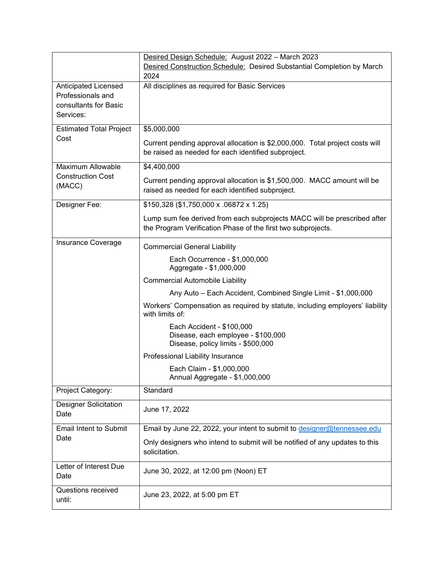|                                        | Desired Design Schedule: August 2022 - March 2023                                               |
|----------------------------------------|-------------------------------------------------------------------------------------------------|
|                                        | Desired Construction Schedule: Desired Substantial Completion by March                          |
|                                        | 2024                                                                                            |
| Anticipated Licensed                   | All disciplines as required for Basic Services                                                  |
| Professionals and                      |                                                                                                 |
| consultants for Basic                  |                                                                                                 |
| Services:                              |                                                                                                 |
|                                        | \$5,000,000                                                                                     |
| <b>Estimated Total Project</b><br>Cost |                                                                                                 |
|                                        | Current pending approval allocation is \$2,000,000. Total project costs will                    |
|                                        | be raised as needed for each identified subproject.                                             |
| Maximum Allowable                      | \$4,400,000                                                                                     |
| <b>Construction Cost</b>               |                                                                                                 |
| (MACC)                                 | Current pending approval allocation is \$1,500,000. MACC amount will be                         |
|                                        | raised as needed for each identified subproject.                                                |
| Designer Fee:                          | \$150,328 (\$1,750,000 x .06872 x 1.25)                                                         |
|                                        | Lump sum fee derived from each subprojects MACC will be prescribed after                        |
|                                        | the Program Verification Phase of the first two subprojects.                                    |
| Insurance Coverage                     |                                                                                                 |
|                                        | <b>Commercial General Liability</b>                                                             |
|                                        | Each Occurrence - \$1,000,000                                                                   |
|                                        | Aggregate - \$1,000,000                                                                         |
|                                        | <b>Commercial Automobile Liability</b>                                                          |
|                                        | Any Auto - Each Accident, Combined Single Limit - \$1,000,000                                   |
|                                        | Workers' Compensation as required by statute, including employers' liability<br>with limits of: |
|                                        | Each Accident - \$100,000                                                                       |
|                                        | Disease, each employee - \$100,000                                                              |
|                                        | Disease, policy limits - \$500,000                                                              |
|                                        | Professional Liability Insurance                                                                |
|                                        | Each Claim - \$1,000,000                                                                        |
|                                        | Annual Aggregate - \$1,000,000                                                                  |
| Project Category:                      | Standard                                                                                        |
| <b>Designer Solicitation</b>           |                                                                                                 |
| Date                                   | June 17, 2022                                                                                   |
| <b>Email Intent to Submit</b>          | Email by June 22, 2022, your intent to submit to designer@tennessee.edu                         |
| Date                                   |                                                                                                 |
|                                        | Only designers who intend to submit will be notified of any updates to this                     |
|                                        | solicitation.                                                                                   |
| Letter of Interest Due                 | June 30, 2022, at 12:00 pm (Noon) ET                                                            |
| Date                                   |                                                                                                 |
| Questions received                     |                                                                                                 |
| until:                                 | June 23, 2022, at 5:00 pm ET                                                                    |
|                                        |                                                                                                 |